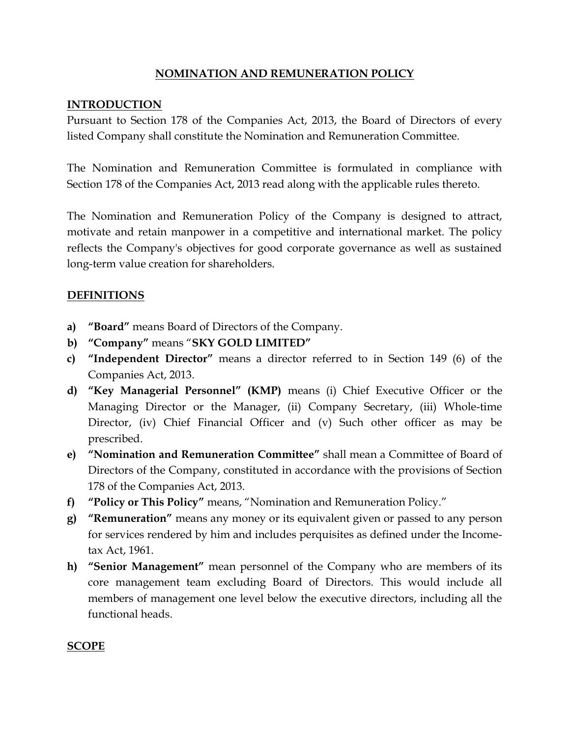## NOMINATION AND REMUNERATION POLICY

### INTRODUCTION

Pursuant to Section 178 of the Companies Act, 2013, the Board of Directors of every listed Company shall constitute the Nomination and Remuneration Committee.

The Nomination and Remuneration Committee is formulated in compliance with Section 178 of the Companies Act, 2013 read along with the applicable rules thereto.

The Nomination and Remuneration Policy of the Company is designed to attract, motivate and retain manpower in a competitive and international market. The policy reflects the Company's objectives for good corporate governance as well as sustained long-term value creation for shareholders.

### DEFINITIONS

- a) "Board" means Board of Directors of the Company.
- b) "Company" means "SKY GOLD LIMITED"
- c) "Independent Director" means a director referred to in Section 149 (6) of the Companies Act, 2013.
- d) "Key Managerial Personnel" (KMP) means (i) Chief Executive Officer or the Managing Director or the Manager, (ii) Company Secretary, (iii) Whole-time Director, (iv) Chief Financial Officer and (v) Such other officer as may be prescribed.
- e) "Nomination and Remuneration Committee" shall mean a Committee of Board of Directors of the Company, constituted in accordance with the provisions of Section 178 of the Companies Act, 2013.
- f) "Policy or This Policy" means, "Nomination and Remuneration Policy."
- g) "Remuneration" means any money or its equivalent given or passed to any person for services rendered by him and includes perquisites as defined under the Incometax Act, 1961.
- h) "Senior Management" mean personnel of the Company who are members of its core management team excluding Board of Directors. This would include all members of management one level below the executive directors, including all the functional heads.

#### SCOPE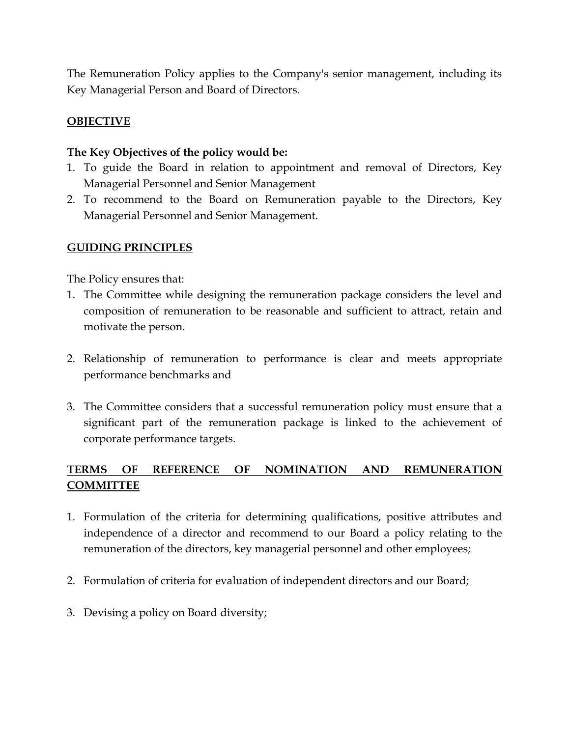The Remuneration Policy applies to the Company's senior management, including its Key Managerial Person and Board of Directors.

### **OBJECTIVE**

#### The Key Objectives of the policy would be:

- 1. To guide the Board in relation to appointment and removal of Directors, Key Managerial Personnel and Senior Management
- 2. To recommend to the Board on Remuneration payable to the Directors, Key Managerial Personnel and Senior Management.

#### GUIDING PRINCIPLES

The Policy ensures that:

- 1. The Committee while designing the remuneration package considers the level and composition of remuneration to be reasonable and sufficient to attract, retain and motivate the person.
- 2. Relationship of remuneration to performance is clear and meets appropriate performance benchmarks and
- 3. The Committee considers that a successful remuneration policy must ensure that a significant part of the remuneration package is linked to the achievement of corporate performance targets.

## TERMS OF REFERENCE OF NOMINATION AND REMUNERATION COMMITTEE

- 1. Formulation of the criteria for determining qualifications, positive attributes and independence of a director and recommend to our Board a policy relating to the remuneration of the directors, key managerial personnel and other employees;
- 2. Formulation of criteria for evaluation of independent directors and our Board;
- 3. Devising a policy on Board diversity;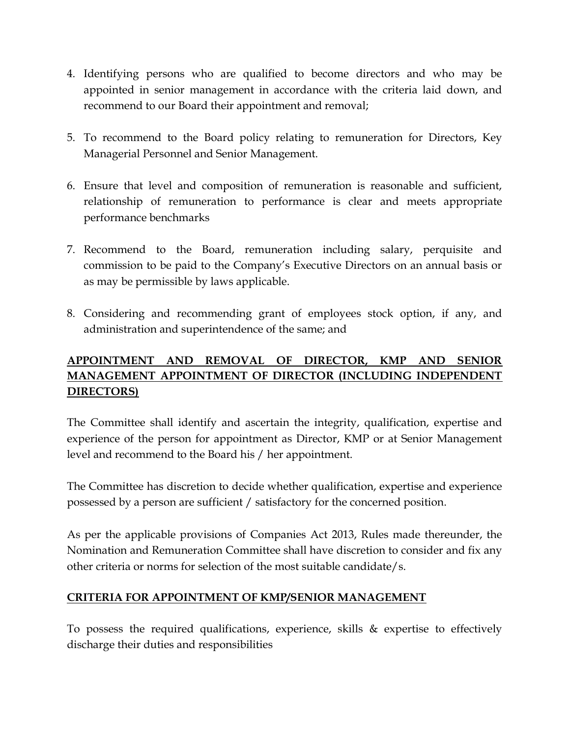- 4. Identifying persons who are qualified to become directors and who may be appointed in senior management in accordance with the criteria laid down, and recommend to our Board their appointment and removal;
- 5. To recommend to the Board policy relating to remuneration for Directors, Key Managerial Personnel and Senior Management.
- 6. Ensure that level and composition of remuneration is reasonable and sufficient, relationship of remuneration to performance is clear and meets appropriate performance benchmarks
- 7. Recommend to the Board, remuneration including salary, perquisite and commission to be paid to the Company's Executive Directors on an annual basis or as may be permissible by laws applicable.
- 8. Considering and recommending grant of employees stock option, if any, and administration and superintendence of the same; and

# APPOINTMENT AND REMOVAL OF DIRECTOR, KMP AND SENIOR MANAGEMENT APPOINTMENT OF DIRECTOR (INCLUDING INDEPENDENT DIRECTORS)

The Committee shall identify and ascertain the integrity, qualification, expertise and experience of the person for appointment as Director, KMP or at Senior Management level and recommend to the Board his / her appointment.

The Committee has discretion to decide whether qualification, expertise and experience possessed by a person are sufficient / satisfactory for the concerned position.

As per the applicable provisions of Companies Act 2013, Rules made thereunder, the Nomination and Remuneration Committee shall have discretion to consider and fix any other criteria or norms for selection of the most suitable candidate/s.

## CRITERIA FOR APPOINTMENT OF KMP/SENIOR MANAGEMENT

To possess the required qualifications, experience, skills & expertise to effectively discharge their duties and responsibilities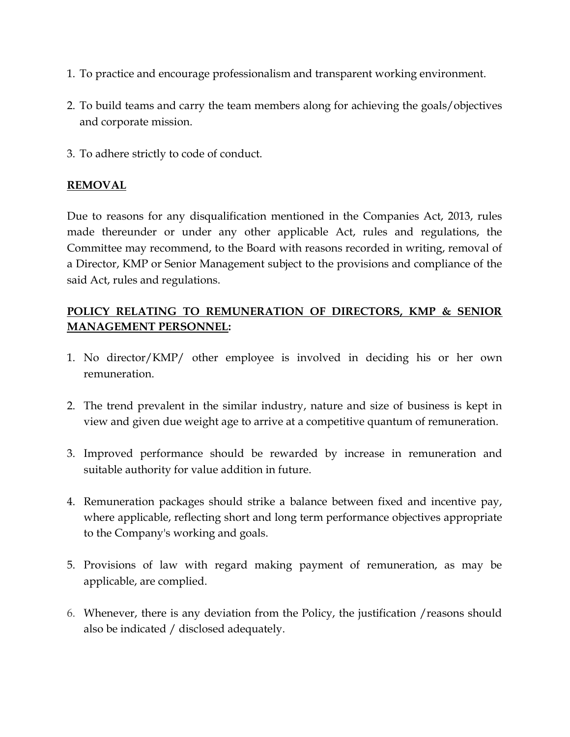- 1. To practice and encourage professionalism and transparent working environment.
- 2. To build teams and carry the team members along for achieving the goals/objectives and corporate mission.
- 3. To adhere strictly to code of conduct.

## REMOVAL

Due to reasons for any disqualification mentioned in the Companies Act, 2013, rules made thereunder or under any other applicable Act, rules and regulations, the Committee may recommend, to the Board with reasons recorded in writing, removal of a Director, KMP or Senior Management subject to the provisions and compliance of the said Act, rules and regulations.

## POLICY RELATING TO REMUNERATION OF DIRECTORS, KMP & SENIOR MANAGEMENT PERSONNEL:

- 1. No director/KMP/ other employee is involved in deciding his or her own remuneration.
- 2. The trend prevalent in the similar industry, nature and size of business is kept in view and given due weight age to arrive at a competitive quantum of remuneration.
- 3. Improved performance should be rewarded by increase in remuneration and suitable authority for value addition in future.
- 4. Remuneration packages should strike a balance between fixed and incentive pay, where applicable, reflecting short and long term performance objectives appropriate to the Company's working and goals.
- 5. Provisions of law with regard making payment of remuneration, as may be applicable, are complied.
- 6. Whenever, there is any deviation from the Policy, the justification /reasons should also be indicated / disclosed adequately.